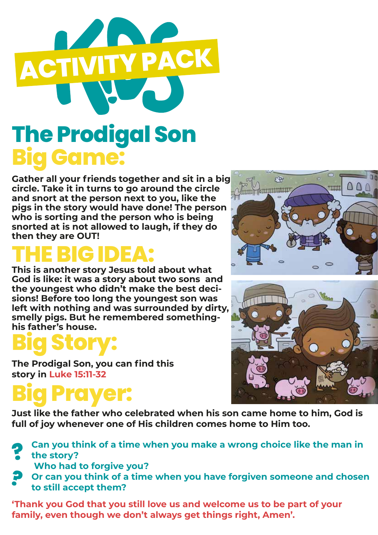# **ACTIVITY PACK**

## **The Prodigal Son Big Game:**

**Gather all your friends together and sit in a big circle. Take it in turns to go around the circle and snort at the person next to you, like the pigs in the story would have done! The person who is sorting and the person who is being snorted at is not allowed to laugh, if they do then they are OUT!** 

# **THE BIG IDEA: This is another story Jesus told about what**

**God is like: it was a story about two sons and the youngest who didn't make the best decisions! Before too long the youngest son was left with nothing and was surrounded by dirty, smelly pigs. But he remembered somethinghis father's house.**

# **Big Story:**

**The Prodigal Son, you can find this story in Luke 15:11-32**

# **Big Prayer:**

**Just like the father who celebrated when his son came home to him, God is full of joy whenever one of His children comes home to Him too.** 



**Or can you think of a time when you have forgiven someone and chosen to still accept them?**

**'Thank you God that you still love us and welcome us to be part of your family, even though we don't always get things right, Amen'.**



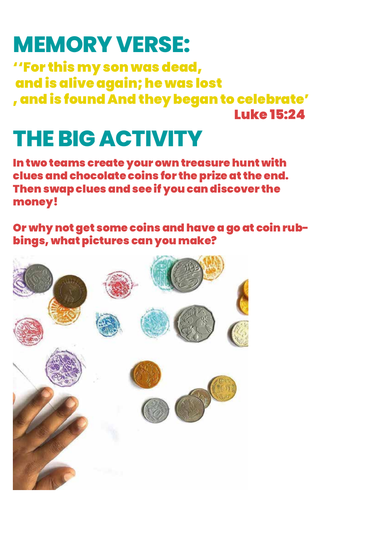## **MEMORY VERSE:**

Luke 15:24 ''For this my son was dead, and is alive again; he was lost , and is found And they began to celebrate'

# **THE BIG ACTIVITY**

In two teams create your own treasure hunt with clues and chocolate coins for the prize at the end. Then swap clues and see if you can discover the money!

Or why not get some coins and have a go at coin rubbings, what pictures can you make?